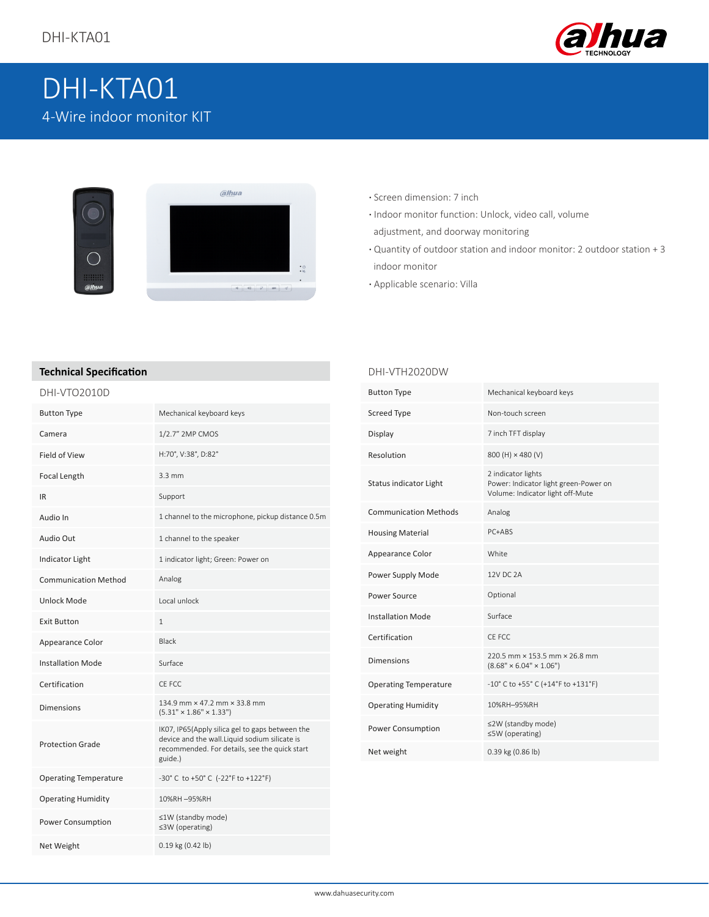

# DHI-KTA01 4-Wire indoor monitor KIT



- **·** Screen dimension: 7 inch
- **·** Indoor monitor function: Unlock, video call, volume adjustment, and doorway monitoring
- **·** Quantity of outdoor station and indoor monitor: 2 outdoor station + 3 indoor monitor
- **·** Applicable scenario: Villa

DHI-VTH2020DW

#### **Technical Specification**

#### DHI-VTO2010D

| <b>Button Type</b>           | Mechanical keyboard keys                                                                                                                                     |
|------------------------------|--------------------------------------------------------------------------------------------------------------------------------------------------------------|
| Camera                       | 1/2.7" 2MP CMOS                                                                                                                                              |
| Field of View                | H:70°, V:38°, D:82°                                                                                                                                          |
| Focal Length                 | $3.3 \text{ mm}$                                                                                                                                             |
| IR.                          | Support                                                                                                                                                      |
| Audio In                     | 1 channel to the microphone, pickup distance 0.5m                                                                                                            |
| Audio Out                    | 1 channel to the speaker                                                                                                                                     |
| <b>Indicator Light</b>       | 1 indicator light; Green: Power on                                                                                                                           |
| <b>Communication Method</b>  | Analog                                                                                                                                                       |
| Unlock Mode                  | Local unlock                                                                                                                                                 |
| <b>Exit Button</b>           | $\mathbf{1}$                                                                                                                                                 |
| Appearance Color             | <b>Black</b>                                                                                                                                                 |
| <b>Installation Mode</b>     | Surface                                                                                                                                                      |
| Certification                | CF FCC                                                                                                                                                       |
| <b>Dimensions</b>            | 134.9 mm × 47.2 mm × 33.8 mm<br>$(5.31" \times 1.86" \times 1.33")$                                                                                          |
| <b>Protection Grade</b>      | IKO7, IP65(Apply silica gel to gaps between the<br>device and the wall.Liquid sodium silicate is<br>recommended. For details, see the quick start<br>guide.) |
| <b>Operating Temperature</b> | -30°C to +50°C (-22°F to +122°F)                                                                                                                             |
| <b>Operating Humidity</b>    | 10%RH-95%RH                                                                                                                                                  |
| Power Consumption            | ≤1W (standby mode)<br>≤3W (operating)                                                                                                                        |
| Net Weight                   | 0.19 kg (0.42 lb)                                                                                                                                            |

| <b>Button Type</b>            | Mechanical keyboard keys                                                                        |
|-------------------------------|-------------------------------------------------------------------------------------------------|
| <b>Screed Type</b>            | Non-touch screen                                                                                |
| Display                       | 7 inch TFT display                                                                              |
| Resolution                    | 800 (H) × 480 (V)                                                                               |
| <b>Status indicator Light</b> | 2 indicator lights<br>Power: Indicator light green-Power on<br>Volume: Indicator light off-Mute |
| <b>Communication Methods</b>  | Analog                                                                                          |
| <b>Housing Material</b>       | PC+ABS                                                                                          |
| Appearance Color              | White                                                                                           |
| Power Supply Mode             | 12V DC 2A                                                                                       |
| Power Source                  | Optional                                                                                        |
| <b>Installation Mode</b>      | Surface                                                                                         |
| Certification                 | CE FCC                                                                                          |
| <b>Dimensions</b>             | 220.5 mm × 153.5 mm × 26.8 mm<br>$(8.68" \times 6.04" \times 1.06")$                            |
| <b>Operating Temperature</b>  | $-10^{\circ}$ C to $+55^{\circ}$ C ( $+14^{\circ}$ F to $+131^{\circ}$ F)                       |
| <b>Operating Humidity</b>     | 10%RH-95%RH                                                                                     |
| Power Consumption             | ≤2W (standby mode)<br>≤5W (operating)                                                           |
| Net weight                    | 0.39 kg (0.86 lb)                                                                               |